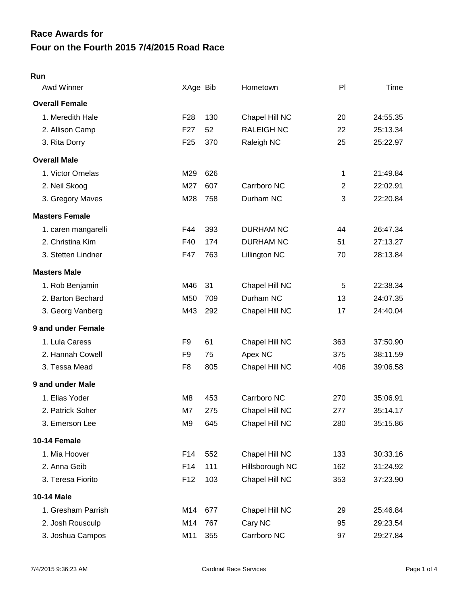# **Four on the Fourth 2015 7/4/2015 Road Race Race Awards for**

#### **Run**

| Awd Winner            | XAge Bib        |     | Hometown          | PI             | Time     |
|-----------------------|-----------------|-----|-------------------|----------------|----------|
| <b>Overall Female</b> |                 |     |                   |                |          |
| 1. Meredith Hale      | F <sub>28</sub> | 130 | Chapel Hill NC    | 20             | 24:55.35 |
| 2. Allison Camp       | F <sub>27</sub> | 52  | <b>RALEIGH NC</b> | 22             | 25:13.34 |
| 3. Rita Dorry         | F <sub>25</sub> | 370 | Raleigh NC        | 25             | 25:22.97 |
| <b>Overall Male</b>   |                 |     |                   |                |          |
| 1. Victor Ornelas     | M29             | 626 |                   | 1              | 21:49.84 |
| 2. Neil Skoog         | M27             | 607 | Carrboro NC       | $\overline{2}$ | 22:02.91 |
| 3. Gregory Maves      | M28             | 758 | Durham NC         | 3              | 22:20.84 |
| <b>Masters Female</b> |                 |     |                   |                |          |
| 1. caren mangarelli   | F44             | 393 | <b>DURHAM NC</b>  | 44             | 26:47.34 |
| 2. Christina Kim      | F40             | 174 | <b>DURHAM NC</b>  | 51             | 27:13.27 |
| 3. Stetten Lindner    | F47             | 763 | Lillington NC     | 70             | 28:13.84 |
| <b>Masters Male</b>   |                 |     |                   |                |          |
| 1. Rob Benjamin       | M46             | 31  | Chapel Hill NC    | 5              | 22:38.34 |
| 2. Barton Bechard     | M50             | 709 | Durham NC         | 13             | 24:07.35 |
| 3. Georg Vanberg      | M43             | 292 | Chapel Hill NC    | 17             | 24:40.04 |
| 9 and under Female    |                 |     |                   |                |          |
| 1. Lula Caress        | F <sub>9</sub>  | 61  | Chapel Hill NC    | 363            | 37:50.90 |
| 2. Hannah Cowell      | F <sub>9</sub>  | 75  | Apex NC           | 375            | 38:11.59 |
| 3. Tessa Mead         | F <sub>8</sub>  | 805 | Chapel Hill NC    | 406            | 39:06.58 |
| 9 and under Male      |                 |     |                   |                |          |
| 1. Elias Yoder        | M <sub>8</sub>  | 453 | Carrboro NC       | 270            | 35:06.91 |
| 2. Patrick Soher      | M7              | 275 | Chapel Hill NC    | 277            | 35:14.17 |
| 3. Emerson Lee        | M <sub>9</sub>  | 645 | Chapel Hill NC    | 280            | 35:15.86 |
| 10-14 Female          |                 |     |                   |                |          |
| 1. Mia Hoover         | F14             | 552 | Chapel Hill NC    | 133            | 30:33.16 |
| 2. Anna Geib          | F14             | 111 | Hillsborough NC   | 162            | 31:24.92 |
| 3. Teresa Fiorito     | F <sub>12</sub> | 103 | Chapel Hill NC    | 353            | 37:23.90 |
| <b>10-14 Male</b>     |                 |     |                   |                |          |
| 1. Gresham Parrish    | M14             | 677 | Chapel Hill NC    | 29             | 25:46.84 |
| 2. Josh Rousculp      | M14             | 767 | Cary NC           | 95             | 29:23.54 |
| 3. Joshua Campos      | M11             | 355 | Carrboro NC       | 97             | 29:27.84 |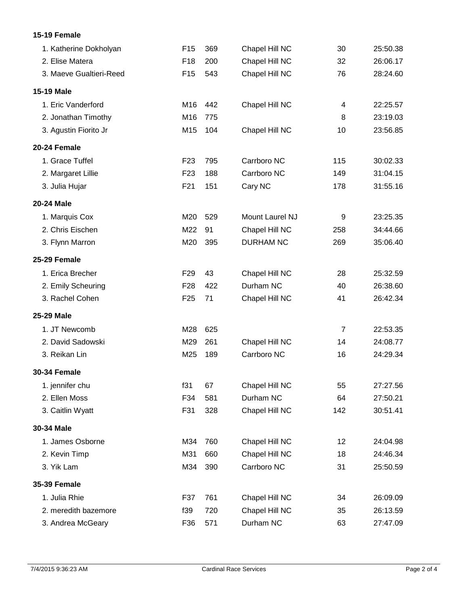## **15-19 Female**

| 1. Katherine Dokholyan  | F <sub>15</sub> | 369 | Chapel Hill NC   | 30             | 25:50.38 |
|-------------------------|-----------------|-----|------------------|----------------|----------|
| 2. Elise Matera         | F <sub>18</sub> | 200 | Chapel Hill NC   | 32             | 26:06.17 |
| 3. Maeve Gualtieri-Reed | F <sub>15</sub> | 543 | Chapel Hill NC   | 76             | 28:24.60 |
| 15-19 Male              |                 |     |                  |                |          |
| 1. Eric Vanderford      | M16             | 442 | Chapel Hill NC   | 4              | 22:25.57 |
| 2. Jonathan Timothy     | M16             | 775 |                  | 8              | 23:19.03 |
| 3. Agustin Fiorito Jr   | M15             | 104 | Chapel Hill NC   | 10             | 23:56.85 |
| 20-24 Female            |                 |     |                  |                |          |
| 1. Grace Tuffel         | F <sub>23</sub> | 795 | Carrboro NC      | 115            | 30:02.33 |
| 2. Margaret Lillie      | F <sub>23</sub> | 188 | Carrboro NC      | 149            | 31:04.15 |
| 3. Julia Hujar          | F21             | 151 | Cary NC          | 178            | 31:55.16 |
| <b>20-24 Male</b>       |                 |     |                  |                |          |
| 1. Marquis Cox          | M20             | 529 | Mount Laurel NJ  | 9              | 23:25.35 |
| 2. Chris Eischen        | M22             | 91  | Chapel Hill NC   | 258            | 34:44.66 |
| 3. Flynn Marron         | M20             | 395 | <b>DURHAM NC</b> | 269            | 35:06.40 |
| 25-29 Female            |                 |     |                  |                |          |
| 1. Erica Brecher        | F <sub>29</sub> | 43  | Chapel Hill NC   | 28             | 25:32.59 |
| 2. Emily Scheuring      | F <sub>28</sub> | 422 | Durham NC        | 40             | 26:38.60 |
| 3. Rachel Cohen         | F <sub>25</sub> | 71  | Chapel Hill NC   | 41             | 26:42.34 |
| 25-29 Male              |                 |     |                  |                |          |
| 1. JT Newcomb           | M28             | 625 |                  | $\overline{7}$ | 22:53.35 |
| 2. David Sadowski       | M29             | 261 | Chapel Hill NC   | 14             | 24:08.77 |
| 3. Reikan Lin           | M25             | 189 | Carrboro NC      | 16             | 24:29.34 |
| <b>30-34 Female</b>     |                 |     |                  |                |          |
| 1. jennifer chu         | f31             | 67  | Chapel Hill NC   | 55             | 27:27.56 |
| 2. Ellen Moss           | F34             | 581 | Durham NC        | 64             | 27:50.21 |
| 3. Caitlin Wyatt        | F31             | 328 | Chapel Hill NC   | 142            | 30:51.41 |
| 30-34 Male              |                 |     |                  |                |          |
| 1. James Osborne        | M34             | 760 | Chapel Hill NC   | 12             | 24:04.98 |
| 2. Kevin Timp           | M31             | 660 | Chapel Hill NC   | 18             | 24:46.34 |
| 3. Yik Lam              | M34             | 390 | Carrboro NC      | 31             | 25:50.59 |
| <b>35-39 Female</b>     |                 |     |                  |                |          |
| 1. Julia Rhie           | F37             | 761 | Chapel Hill NC   | 34             | 26:09.09 |
| 2. meredith bazemore    | f39             | 720 | Chapel Hill NC   | 35             | 26:13.59 |
| 3. Andrea McGeary       | F36             | 571 | Durham NC        | 63             | 27:47.09 |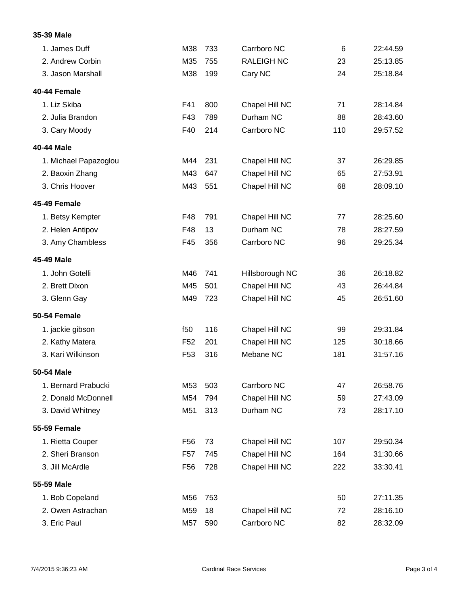## **35-39 Male**

| 1. James Duff         | M38             | 733 | Carrboro NC       | $6\phantom{1}6$ | 22:44.59 |
|-----------------------|-----------------|-----|-------------------|-----------------|----------|
| 2. Andrew Corbin      | M35             | 755 | <b>RALEIGH NC</b> | 23              | 25:13.85 |
| 3. Jason Marshall     | M38             | 199 | Cary NC           | 24              | 25:18.84 |
| 40-44 Female          |                 |     |                   |                 |          |
| 1. Liz Skiba          | F41             | 800 | Chapel Hill NC    | 71              | 28:14.84 |
| 2. Julia Brandon      | F43             | 789 | Durham NC         | 88              | 28:43.60 |
| 3. Cary Moody         | F40             | 214 | Carrboro NC       | 110             | 29:57.52 |
| 40-44 Male            |                 |     |                   |                 |          |
| 1. Michael Papazoglou | M44             | 231 | Chapel Hill NC    | 37              | 26:29.85 |
| 2. Baoxin Zhang       | M43             | 647 | Chapel Hill NC    | 65              | 27:53.91 |
| 3. Chris Hoover       | M43             | 551 | Chapel Hill NC    | 68              | 28:09.10 |
| 45-49 Female          |                 |     |                   |                 |          |
| 1. Betsy Kempter      | F48             | 791 | Chapel Hill NC    | 77              | 28:25.60 |
| 2. Helen Antipov      | F48             | 13  | Durham NC         | 78              | 28:27.59 |
| 3. Amy Chambless      | F45             | 356 | Carrboro NC       | 96              | 29:25.34 |
| 45-49 Male            |                 |     |                   |                 |          |
| 1. John Gotelli       | M46             | 741 | Hillsborough NC   | 36              | 26:18.82 |
| 2. Brett Dixon        | M45             | 501 | Chapel Hill NC    | 43              | 26:44.84 |
| 3. Glenn Gay          | M49             | 723 | Chapel Hill NC    | 45              | 26:51.60 |
| <b>50-54 Female</b>   |                 |     |                   |                 |          |
| 1. jackie gibson      | f50             | 116 | Chapel Hill NC    | 99              | 29:31.84 |
| 2. Kathy Matera       | F <sub>52</sub> | 201 | Chapel Hill NC    | 125             | 30:18.66 |
| 3. Kari Wilkinson     | F <sub>53</sub> | 316 | Mebane NC         | 181             | 31:57.16 |
| 50-54 Male            |                 |     |                   |                 |          |
| 1. Bernard Prabucki   | M53             | 503 | Carrboro NC       | 47              | 26:58.76 |
| 2. Donald McDonnell   | M54             | 794 | Chapel Hill NC    | 59              | 27:43.09 |
| 3. David Whitney      | M51             | 313 | Durham NC         | 73              | 28:17.10 |
| <b>55-59 Female</b>   |                 |     |                   |                 |          |
| 1. Rietta Couper      | F <sub>56</sub> | 73  | Chapel Hill NC    | 107             | 29:50.34 |
| 2. Sheri Branson      | F <sub>57</sub> | 745 | Chapel Hill NC    | 164             | 31:30.66 |
| 3. Jill McArdle       | F <sub>56</sub> | 728 | Chapel Hill NC    | 222             | 33:30.41 |
| 55-59 Male            |                 |     |                   |                 |          |
| 1. Bob Copeland       | M56             | 753 |                   | 50              | 27:11.35 |
| 2. Owen Astrachan     | M59             | 18  | Chapel Hill NC    | 72              | 28:16.10 |
| 3. Eric Paul          | M57             | 590 | Carrboro NC       | 82              | 28:32.09 |